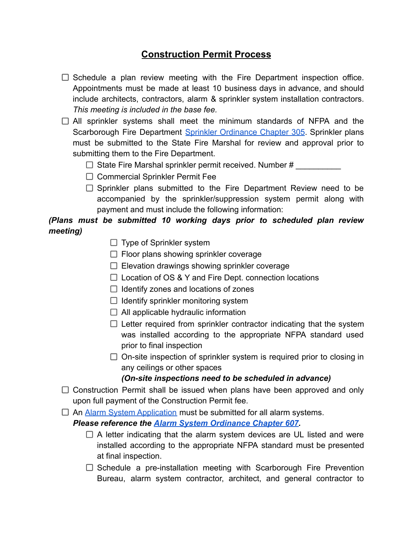## **Construction Permit Process**

- $\Box$  Schedule a plan review meeting with the Fire Department inspection office. Appointments must be made at least 10 business days in advance, and should include architects, contractors, alarm & sprinkler system installation contractors. *This meeting is included in the base fee.*
- $\Box$  All sprinkler systems shall meet the minimum standards of NFPA and the Scarborough Fire Department Sprinkler [Ordinance](https://resources.finalsite.net/images/v1634825301/scarboroughmaineorg/o0y20ib2w2yc63chvdmx/305-Sprinkler-System-Ordinance.pdf) Chapter 305. Sprinkler plans must be submitted to the State Fire Marshal for review and approval prior to submitting them to the Fire Department.
	- $\Box$  State Fire Marshal sprinkler permit received. Number #
	- $\Box$  Commercial Sprinkler Permit Fee
	- $\Box$  Sprinkler plans submitted to the Fire Department Review need to be accompanied by the sprinkler/suppression system permit along with payment and must include the following information:

## *(Plans must be submitted 10 working days prior to scheduled plan review meeting)*

- $\Box$  Type of Sprinkler system
- $\Box$  Floor plans showing sprinkler coverage
- $\Box$  Elevation drawings showing sprinkler coverage
- $\Box$  Location of OS & Y and Fire Dept. connection locations
- $\Box$  Identify zones and locations of zones
- $\Box$  Identify sprinkler monitoring system
- $\Box$  All applicable hydraulic information
- $\Box$  Letter required from sprinkler contractor indicating that the system was installed according to the appropriate NFPA standard used prior to final inspection
- $\Box$  On-site inspection of sprinkler system is required prior to closing in any ceilings or other spaces

## *(On-site inspections need to be scheduled in advance)*

- $\Box$  Construction Permit shall be issued when plans have been approved and only upon full payment of the Construction Permit fee.
- $\Box$  An [Alarm System Application](https://resources.finalsite.net/images/v1646840688/scarboroughmaineorg/szuzmieydmo1cfvogffo/2022ApplicationforAlarmSystemPermit.pdf) must be submitted for all alarm systems.

*Please reference the [Alarm System Ordinance Chapter](https://resources.finalsite.net/images/v1634836875/scarboroughmaineorg/unp3ynktwdz0uqcf8pby/607-Alarm-Systems-Ordinance.pdf) 607.*

- $\Box$  A letter indicating that the alarm system devices are UL listed and were installed according to the appropriate NFPA standard must be presented at final inspection.
- $\Box$  Schedule a pre-installation meeting with Scarborough Fire Prevention Bureau, alarm system contractor, architect, and general contractor to